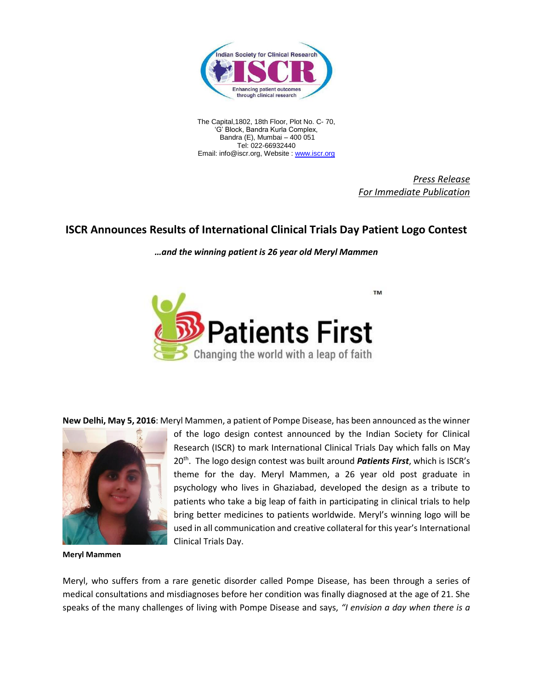

The Capital,1802, 18th Floor, Plot No. C- 70, 'G' Block, Bandra Kurla Complex, Bandra (E), Mumbai – 400 051 Tel: 022-66932440 Email: info@iscr.org, Website : [www.iscr.org](http://www.iscr.org/)

> *Press Release For Immediate Publication*

## **ISCR Announces Results of International Clinical Trials Day Patient Logo Contest**

*…and the winning patient is 26 year old Meryl Mammen*



**New Delhi, May 5, 2016**: Meryl Mammen, a patient of Pompe Disease, has been announced as the winner



**Meryl Mammen**

of the logo design contest announced by the Indian Society for Clinical Research (ISCR) to mark International Clinical Trials Day which falls on May 20<sup>th</sup>. The logo design contest was built around *Patients First*, which is ISCR's theme for the day. Meryl Mammen, a 26 year old post graduate in psychology who lives in Ghaziabad, developed the design as a tribute to patients who take a big leap of faith in participating in clinical trials to help bring better medicines to patients worldwide. Meryl's winning logo will be used in all communication and creative collateral for this year's International Clinical Trials Day.

Meryl, who suffers from a rare genetic disorder called Pompe Disease, has been through a series of medical consultations and misdiagnoses before her condition was finally diagnosed at the age of 21. She speaks of the many challenges of living with Pompe Disease and says, *"I envision a day when there is a*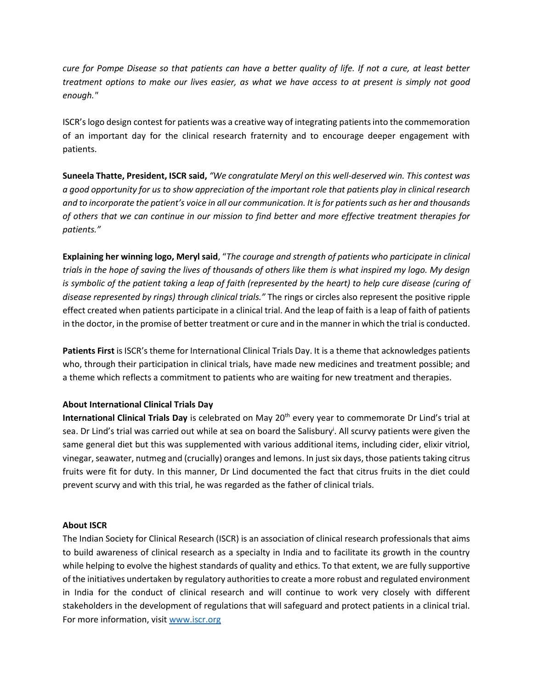*cure for Pompe Disease so that patients can have a better quality of life. If not a cure, at least better treatment options to make our lives easier, as what we have access to at present is simply not good enough."*

ISCR's logo design contest for patients was a creative way of integrating patients into the commemoration of an important day for the clinical research fraternity and to encourage deeper engagement with patients.

**Suneela Thatte, President, ISCR said,** *"We congratulate Meryl on this well-deserved win. This contest was a good opportunity for us to show appreciation of the important role that patients play in clinical research and to incorporate the patient's voice in all our communication. It is for patients such as her and thousands of others that we can continue in our mission to find better and more effective treatment therapies for patients."*

**Explaining her winning logo, Meryl said**, "*The courage and strength of patients who participate in clinical trials in the hope of saving the lives of thousands of others like them is what inspired my logo. My design is symbolic of the patient taking a leap of faith (represented by the heart) to help cure disease (curing of disease represented by rings) through clinical trials."* The rings or circles also represent the positive ripple effect created when patients participate in a clinical trial. And the leap of faith is a leap of faith of patients in the doctor, in the promise of better treatment or cure and in the manner in which the trial is conducted.

**Patients First** is ISCR's theme for International Clinical Trials Day. It is a theme that acknowledges patients who, through their participation in clinical trials, have made new medicines and treatment possible; and a theme which reflects a commitment to patients who are waiting for new treatment and therapies.

## **About International Clinical Trials Day**

**International Clinical Trials Day** is celebrated on May 20th every year to commemorate Dr Lind's trial at sea. Dr Lind's trial was carried out while at sea on board the Salisbury<sup>i</sup>. All scurvy patients were given the same general diet but this was supplemented with various additional items, including cider, elixir vitriol, vinegar, seawater, nutmeg and (crucially) oranges and lemons. In just six days, those patients taking citrus fruits were fit for duty. In this manner, Dr Lind documented the fact that citrus fruits in the diet could prevent scurvy and with this trial, he was regarded as the father of clinical trials.

## **About ISCR**

The Indian Society for Clinical Research (ISCR) is an association of clinical research professionals that aims to build awareness of clinical research as a specialty in India and to facilitate its growth in the country while helping to evolve the highest standards of quality and ethics. To that extent, we are fully supportive of the initiatives undertaken by regulatory authorities to create a more robust and regulated environment in India for the conduct of clinical research and will continue to work very closely with different stakeholders in the development of regulations that will safeguard and protect patients in a clinical trial. For more information, visi[t www.iscr.org](http://www.iscr.org/)